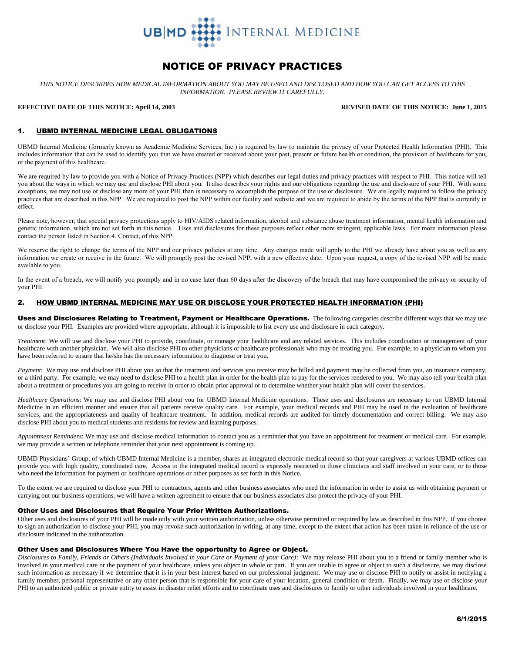

# NOTICE OF PRIVACY PRACTICES

*THIS NOTICE DESCRIBES HOW MEDICAL INFORMATION ABOUT YOU MAY BE USED AND DISCLOSED AND HOW YOU CAN GET ACCESS TO THIS INFORMATION. PLEASE REVIEW IT CAREFULLY.*

### **EFFECTIVE DATE OF THIS NOTICE: April 14, 2003 REVISED DATE OF THIS NOTICE: June 1, 2015**

#### 1. UBMD INTERNAL MEDICINE LEGAL OBLIGATIONS

UBMD Internal Medicine (formerly known as Academic Medicine Services, Inc.) is required by law to maintain the privacy of your Protected Health Information (PHI). This includes information that can be used to identify you that we have created or received about your past, present or future health or condition, the provision of healthcare for you, or the payment of this healthcare.

We are required by law to provide you with a Notice of Privacy Practices (NPP) which describes our legal duties and privacy practices with respect to PHI. This notice will tell you about the ways in which we may use and disclose PHI about you. It also describes your rights and our obligations regarding the use and disclosure of your PHI. With some exceptions, we may not use or disclose any more of your PHI than is necessary to accomplish the purpose of the use or disclosure. We are legally required to follow the privacy practices that are described in this NPP. We are required to post the NPP within our facility and website and we are required to abide by the terms of the NPP that is currently in effect.

Please note, however, that special privacy protections apply to HIV/AIDS related information, alcohol and substance abuse treatment information, mental health information and genetic information, which are not set forth in this notice. Uses and disclosures for these purposes reflect other more stringent, applicable laws. For more information please contact the person listed in Section 4. Contact, of this NPP.

We reserve the right to change the terms of the NPP and our privacy policies at any time. Any changes made will apply to the PHI we already have about you as well as any information we create or receive in the future. We will promptly post the revised NPP, with a new effective date. Upon your request, a copy of the revised NPP will be made available to you.

In the event of a breach, we will notify you promptly and in no case later than 60 days after the discovery of the breach that may have compromised the privacy or security of your PHI.

# 2. HOW UBMD INTERNAL MEDICINE MAY USE OR DISCLOSE YOUR PROTECTED HEALTH INFORMATION (PHI)

Uses and Disclosures Relating to Treatment, Payment or Healthcare Operations. The following categories describe different ways that we may use or disclose your PHI. Examples are provided where appropriate, although it is impossible to list every use and disclosure in each category.

*Treatment*: We will use and disclose your PHI to provide, coordinate, or manage your healthcare and any related services. This includes coordination or management of your healthcare with another physician. We will also disclose PHI to other physicians or healthcare professionals who may be treating you. For example, to a physician to whom you have been referred to ensure that he/she has the necessary information to diagnose or treat you.

*Payment*: We may use and disclose PHI about you so that the treatment and services you receive may be billed and payment may be collected from you, an insurance company, or a third party. For example, we may need to disclose PHI to a health plan in order for the health plan to pay for the services rendered to you. We may also tell your health plan about a treatment or procedures you are going to receive in order to obtain prior approval or to determine whether your health plan will cover the services.

*Healthcare Operations*: We may use and disclose PHI about you for UBMD Internal Medicine operations. These uses and disclosures are necessary to run UBMD Internal Medicine in an efficient manner and ensure that all patients receive quality care. For example, your medical records and PHI may be used in the evaluation of healthcare services, and the appropriateness and quality of healthcare treatment. In addition, medical records are audited for timely documentation and correct billing. We may also disclose PHI about you to medical students and residents for review and learning purposes.

*Appointment Reminders*: We may use and disclose medical information to contact you as a reminder that you have an appointment for treatment or medical care. For example, we may provide a written or telephone reminder that your next appointment is coming up.

UBMD Physicians' Group, of which UBMD Internal Medicine is a member, shares an integrated electronic medical record so that your caregivers at various UBMD offices can provide you with high quality, coordinated care. Access to the integrated medical record is expressly restricted to those clinicians and staff involved in your care, or to those who need the information for payment or healthcare operations or other purposes as set forth in this Notice.

To the extent we are required to disclose your PHI to contractors, agents and other business associates who need the information in order to assist us with obtaining payment or carrying out our business operations, we will have a written agreement to ensure that our business associates also protect the privacy of your PHI.

#### Other Uses and Disclosures that Require Your Prior Written Authorizations.

Other uses and disclosures of your PHI will be made only with your written authorization, unless otherwise permitted or required by law as described in this NPP. If you choose to sign an authorization to disclose your PHI, you may revoke such authorization in writing, at any time, except to the extent that action has been taken in reliance of the use or disclosure indicated in the authorization.

#### Other Uses and Disclosures Where You Have the opportunity to Agree or Object.

*Disclosures to Family, Friends or Others (Individuals Involved in your Care or Payment of your Care)*: We may release PHI about you to a friend or family member who is involved in your medical care or the payment of your healthcare, unless you object in whole or part. If you are unable to agree or object to such a disclosure, we may disclose such information as necessary if we determine that it is in your best interest based on our professional judgment. We may use or disclose PHI to notify or assist in notifying a family member, personal representative or any other person that is responsible for your care of your location, general condition or death. Finally, we may use or disclose your PHI to an authorized public or private entity to assist in disaster relief efforts and to coordinate uses and disclosures to family or other individuals involved in your healthcare.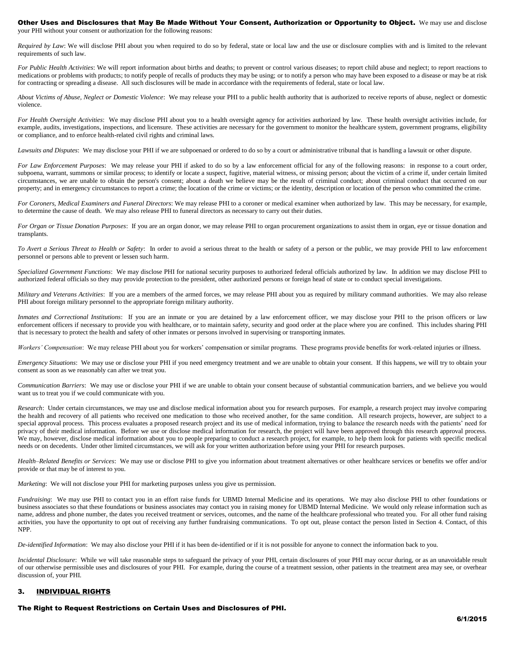# Other Uses and Disclosures that May Be Made Without Your Consent, Authorization or Opportunity to Object. We may use and disclose

your PHI without your consent or authorization for the following reasons:

*Required by Law*: We will disclose PHI about you when required to do so by federal, state or local law and the use or disclosure complies with and is limited to the relevant requirements of such law.

*For Public Health Activities*: We will report information about births and deaths; to prevent or control various diseases; to report child abuse and neglect; to report reactions to medications or problems with products; to notify people of recalls of products they may be using; or to notify a person who may have been exposed to a disease or may be at risk for contracting or spreading a disease. All such disclosures will be made in accordance with the requirements of federal, state or local law.

*About Victims of Abuse, Neglect or Domestic Violence*: We may release your PHI to a public health authority that is authorized to receive reports of abuse, neglect or domestic violence.

*For Health Oversight Activities*: We may disclose PHI about you to a health oversight agency for activities authorized by law. These health oversight activities include, for example, audits, investigations, inspections, and licensure. These activities are necessary for the government to monitor the healthcare system, government programs, eligibility or compliance, and to enforce health-related civil rights and criminal laws.

*Lawsuits and Disputes*: We may disclose your PHI if we are subpoenaed or ordered to do so by a court or administrative tribunal that is handling a lawsuit or other dispute.

*For Law Enforcement Purposes*: We may release your PHI if asked to do so by a law enforcement official for any of the following reasons: in response to a court order, subpoena, warrant, summons or similar process; to identify or locate a suspect, fugitive, material witness, or missing person; about the victim of a crime if, under certain limited circumstances, we are unable to obtain the person's consent; about a death we believe may be the result of criminal conduct; about criminal conduct that occurred on our property; and in emergency circumstances to report a crime; the location of the crime or victims; or the identity, description or location of the person who committed the crime.

*For Coroners, Medical Examiners and Funeral Directors*: We may release PHI to a coroner or medical examiner when authorized by law. This may be necessary, for example, to determine the cause of death. We may also release PHI to funeral directors as necessary to carry out their duties.

*For Organ or Tissue Donation Purposes*: If you are an organ donor, we may release PHI to organ procurement organizations to assist them in organ, eye or tissue donation and transplants.

*To Avert a Serious Threat to Health or Safety*: In order to avoid a serious threat to the health or safety of a person or the public, we may provide PHI to law enforcement personnel or persons able to prevent or lessen such harm.

*Specialized Government Functions*: We may disclose PHI for national security purposes to authorized federal officials authorized by law. In addition we may disclose PHI to authorized federal officials so they may provide protection to the president, other authorized persons or foreign head of state or to conduct special investigations.

*Military and Veterans Activities*: If you are a members of the armed forces, we may release PHI about you as required by military command authorities. We may also release PHI about foreign military personnel to the appropriate foreign military authority.

*Inmates and Correctional Institutions*: If you are an inmate or you are detained by a law enforcement officer, we may disclose your PHI to the prison officers or law enforcement officers if necessary to provide you with healthcare, or to maintain safety, security and good order at the place where you are confined. This includes sharing PHI that is necessary to protect the health and safety of other inmates or persons involved in supervising or transporting inmates.

*Workers' Compensation*: We may release PHI about you for workers' compensation or similar programs. These programs provide benefits for work-related injuries or illness.

*Emergency Situations*: We may use or disclose your PHI if you need emergency treatment and we are unable to obtain your consent. If this happens, we will try to obtain your consent as soon as we reasonably can after we treat you.

*Communication Barriers*: We may use or disclose your PHI if we are unable to obtain your consent because of substantial communication barriers, and we believe you would want us to treat you if we could communicate with you.

*Research*: Under certain circumstances, we may use and disclose medical information about you for research purposes. For example, a research project may involve comparing the health and recovery of all patients who received one medication to those who received another, for the same condition. All research projects, however, are subject to a special approval process. This process evaluates a proposed research project and its use of medical information, trying to balance the research needs with the patients' need for privacy of their medical information. Before we use or disclose medical information for research, the project will have been approved through this research approval process. We may, however, disclose medical information about you to people preparing to conduct a research project, for example, to help them look for patients with specific medical needs or on decedents. Under other limited circumstances, we will ask for your written authorization before using your PHI for research purposes.

*Health–Related Benefits or Services*: We may use or disclose PHI to give you information about treatment alternatives or other healthcare services or benefits we offer and/or provide or that may be of interest to you.

*Marketing*: We will not disclose your PHI for marketing purposes unless you give us permission.

*Fundraising*: We may use PHI to contact you in an effort raise funds for UBMD Internal Medicine and its operations. We may also disclose PHI to other foundations or business associates so that these foundations or business associates may contact you in raising money for UBMD Internal Medicine. We would only release information such as name, address and phone number, the dates you received treatment or services, outcomes, and the name of the healthcare professional who treated you. For all other fund raising activities, you have the opportunity to opt out of receiving any further fundraising communications. To opt out, please contact the person listed in Section 4. Contact, of this NPP.

*De-identified Information*: We may also disclose your PHI if it has been de-identified or if it is not possible for anyone to connect the information back to you.

*Incidental Disclosure*: While we will take reasonable steps to safeguard the privacy of your PHI, certain disclosures of your PHI may occur during, or as an unavoidable result of our otherwise permissible uses and disclosures of your PHI. For example, during the course of a treatment session, other patients in the treatment area may see, or overhear discussion of, your PHI.

# 3. INDIVIDUAL RIGHTS

The Right to Request Restrictions on Certain Uses and Disclosures of PHI.